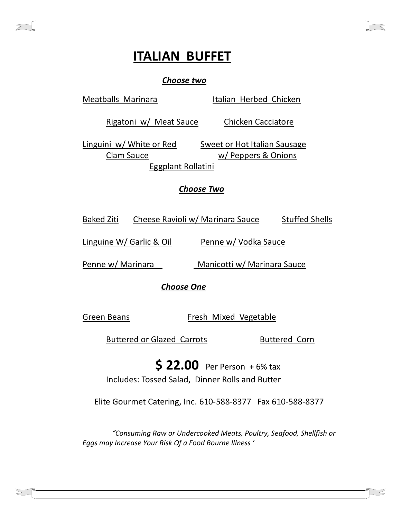# **ITALIAN BUFFET**

#### *Choose two*

Meatballs Marinara **Italian Herbed Chicken** Rigatoni w/ Meat Sauce Chicken Cacciatore Linguini w/ White or Red Sweet or Hot Italian Sausage Clam Sauce w/ Peppers & Onions Eggplant Rollatini

#### *Choose Two*

Baked Ziti Cheese Ravioli w/ Marinara Sauce Stuffed Shells

Linguine W/ Garlic & Oil Penne w/ Vodka Sauce

Penne w/ Marinara Manicotti w/ Marinara Sauce

 *Choose One*

Green Beans Fresh Mixed Vegetable

Buttered or Glazed Carrots Buttered Corn

**\$ 22.00** Per Person + 6% tax Includes: Tossed Salad, Dinner Rolls and Butter

Elite Gourmet Catering, Inc. 610-588-8377 Fax 610-588-8377

*"Consuming Raw or Undercooked Meats, Poultry, Seafood, Shellfish or Eggs may Increase Your Risk Of a Food Bourne Illness '*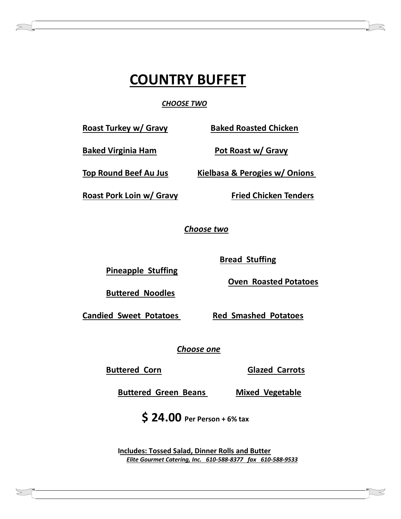# **COUNTRY BUFFET**

*CHOOSE TWO*

Roast Turkey w/ Gravy Baked Roasted Chicken

**Baked Virginia Ham Pot Roast w/ Gravy**

**Top Round Beef Au Jus Kielbasa & Perogies w/ Onions**

Roast Pork Loin w/ Gravy **Fried Chicken Tenders** 

*Choose two*

 **Bread Stuffing**

 **Oven Roasted Potatoes**

**Candied Sweet Potatoes Red Smashed Potatoes** 

**Pineapple Stuffing**

**Buttered Noodles**

*Choose one*

**Buttered Corn Glazed Carrots**

**Buttered Green Beans Mixed Vegetable** 

 **\$ 24.00 Per Person + 6% tax** 

**Includes: Tossed Salad, Dinner Rolls and Butter**  *Elite Gourmet Catering, Inc. 610-588-8377 fax 610-588-9533*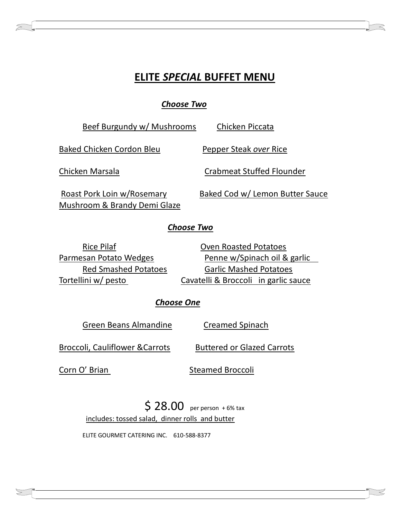## **ELITE** *SPECIAL* **BUFFET MENU**

*Choose Two*

Beef Burgundy w/ Mushrooms Chicken Piccata Baked Chicken Cordon Bleu Pepper Steak *over* Rice Chicken Marsala Crabmeat Stuffed Flounder Roast Pork Loin w/Rosemary Baked Cod w/ Lemon Butter Sauce

## *Choose Two*

Rice Pilaf **National Coven Roasted Potatoes** 

Mushroom & Brandy Demi Glaze

Parmesan Potato Wedges Penne w/Spinach oil & garlic Red Smashed Potatoes Garlic Mashed Potatoes Tortellini w/ pesto Cavatelli & Broccoli in garlic sauce

## *Choose One*

Green Beans Almandine Creamed Spinach

Broccoli, Cauliflower & Carrots Buttered or Glazed Carrots

Corn O' Brian Steamed Broccoli

\$ 28.00 per person + 6% tax includes: tossed salad, dinner rolls and butter

ELITE GOURMET CATERING INC. 610-588-8377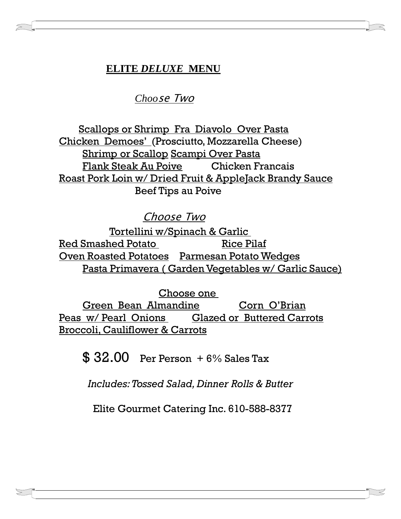## **ELITE** *DELUXE* **MENU**

*Choo*se Two

 Scallops or Shrimp Fra Diavolo Over Pasta Chicken Demoes' (Prosciutto, Mozzarella Cheese) Shrimp or Scallop Scampi Over Pasta Flank Steak Au Poive Chicken Francais Roast Pork Loin w/ Dried Fruit & AppleJack Brandy Sauce Beef Tips au Poive

Choose Two

Tortellini w/Spinach & Garlic Red Smashed Potato Rice Pilaf Oven Roasted Potatoes Parmesan Potato Wedges Pasta Primavera ( Garden Vegetables w/ Garlic Sauce)

Choose one

Green Bean Almandine Corn O'Brian Peas w/ Pearl Onions Glazed or Buttered Carrots Broccoli, Cauliflower & Carrots

 $$32.00$  Per Person  $+6\%$  Sales Tax

*Includes: Tossed Salad, Dinner Rolls & Butter*

Elite Gourmet Catering Inc. 610-588-8377